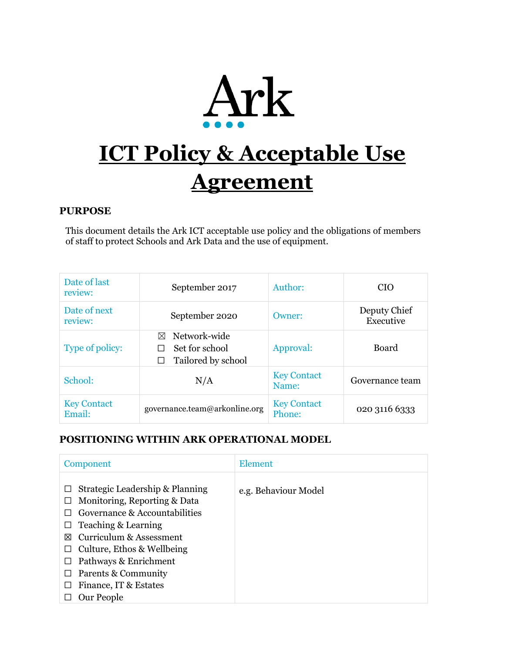

# **ICT Policy & Acceptable Use Agreement**

## **PURPOSE**

This document details the Ark ICT acceptable use policy and the obligations of members of staff to protect Schools and Ark Data and the use of equipment.

| Date of last<br>review:      | September 2017                                                    | Author:                      | <b>CIO</b>                |
|------------------------------|-------------------------------------------------------------------|------------------------------|---------------------------|
| Date of next<br>review:      | September 2020                                                    | Owner:                       | Deputy Chief<br>Executive |
| Type of policy:              | Network-wide<br>$\bowtie$<br>Set for school<br>Tailored by school | Approval:                    | <b>Board</b>              |
| School:                      | N/A                                                               | <b>Key Contact</b><br>Name:  | Governance team           |
| <b>Key Contact</b><br>Email: | governance.team@arkonline.org                                     | <b>Key Contact</b><br>Phone: | 020 3116 6333             |

# **POSITIONING WITHIN ARK OPERATIONAL MODEL**

| Component                                                                                                                                                                                                                                                      | Element              |
|----------------------------------------------------------------------------------------------------------------------------------------------------------------------------------------------------------------------------------------------------------------|----------------------|
| Strategic Leadership & Planning<br>Monitoring, Reporting & Data<br>Governance & Accountabilities<br>Teaching & Learning<br>Curriculum & Assessment<br>⊠<br>Culture, Ethos & Wellbeing<br>Pathways & Enrichment<br>Parents & Community<br>Finance, IT & Estates | e.g. Behaviour Model |
| Our People                                                                                                                                                                                                                                                     |                      |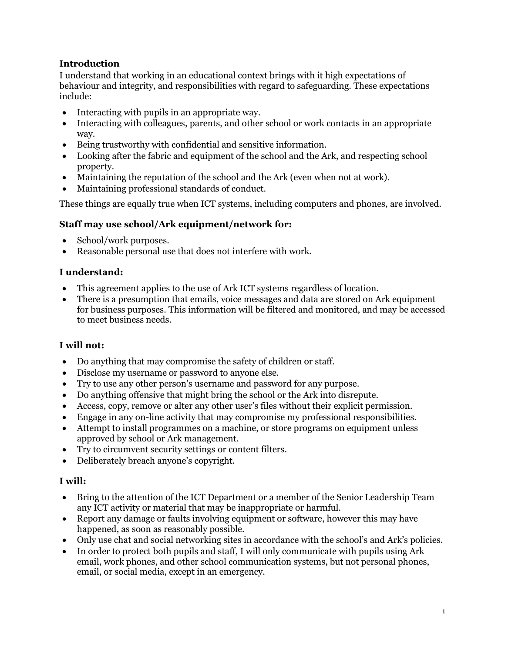## **Introduction**

I understand that working in an educational context brings with it high expectations of behaviour and integrity, and responsibilities with regard to safeguarding. These expectations include:

- Interacting with pupils in an appropriate way.
- Interacting with colleagues, parents, and other school or work contacts in an appropriate way.
- Being trustworthy with confidential and sensitive information.
- Looking after the fabric and equipment of the school and the Ark, and respecting school property.
- Maintaining the reputation of the school and the Ark (even when not at work).
- Maintaining professional standards of conduct.

These things are equally true when ICT systems, including computers and phones, are involved.

## **Staff may use school/Ark equipment/network for:**

- School/work purposes.
- Reasonable personal use that does not interfere with work.

## **I understand:**

- This agreement applies to the use of Ark ICT systems regardless of location.
- There is a presumption that emails, voice messages and data are stored on Ark equipment for business purposes. This information will be filtered and monitored, and may be accessed to meet business needs.

## **I will not:**

- Do anything that may compromise the safety of children or staff.
- Disclose my username or password to anyone else.
- Try to use any other person's username and password for any purpose.
- Do anything offensive that might bring the school or the Ark into disrepute.
- Access, copy, remove or alter any other user's files without their explicit permission.
- Engage in any on-line activity that may compromise my professional responsibilities.
- Attempt to install programmes on a machine, or store programs on equipment unless approved by school or Ark management.
- Try to circumvent security settings or content filters.
- Deliberately breach anyone's copyright.

## **I will:**

- Bring to the attention of the ICT Department or a member of the Senior Leadership Team any ICT activity or material that may be inappropriate or harmful.
- Report any damage or faults involving equipment or software, however this may have happened, as soon as reasonably possible.
- Only use chat and social networking sites in accordance with the school's and Ark's policies.
- In order to protect both pupils and staff, I will only communicate with pupils using Ark email, work phones, and other school communication systems, but not personal phones, email, or social media, except in an emergency.